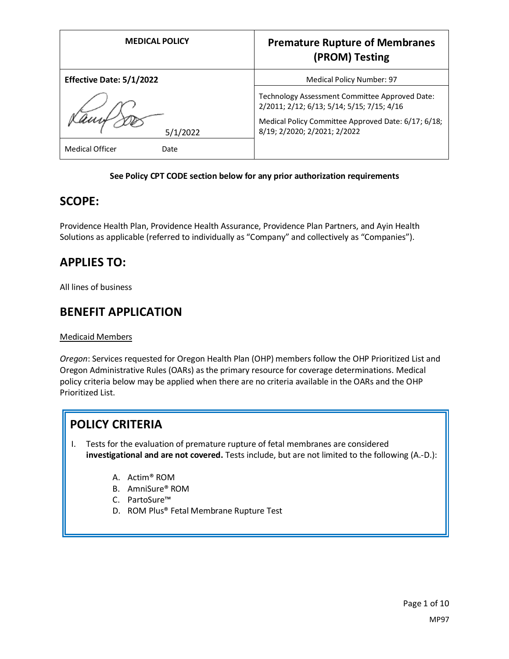| <b>MEDICAL POLICY</b>          | <b>Premature Rupture of Membranes</b><br>(PROM) Testing                                      |
|--------------------------------|----------------------------------------------------------------------------------------------|
| Effective Date: 5/1/2022       | Medical Policy Number: 97                                                                    |
|                                | Technology Assessment Committee Approved Date:<br>2/2011; 2/12; 6/13; 5/14; 5/15; 7/15; 4/16 |
| 5/1/2022                       | Medical Policy Committee Approved Date: 6/17; 6/18;<br>8/19; 2/2020; 2/2021; 2/2022          |
| <b>Medical Officer</b><br>Date |                                                                                              |

#### **See Policy CPT CODE section below for any prior authorization requirements**

### **SCOPE:**

Providence Health Plan, Providence Health Assurance, Providence Plan Partners, and Ayin Health Solutions as applicable (referred to individually as "Company" and collectively as "Companies").

### **APPLIES TO:**

All lines of business

### **BENEFIT APPLICATION**

#### Medicaid Members

*Oregon*: Services requested for Oregon Health Plan (OHP) members follow the OHP Prioritized List and Oregon Administrative Rules (OARs) as the primary resource for coverage determinations. Medical policy criteria below may be applied when there are no criteria available in the OARs and the OHP Prioritized List.

## **POLICY CRITERIA**

- I. Tests for the evaluation of premature rupture of fetal membranes are considered **investigational and are not covered.** Tests include, but are not limited to the following (A.-D.):
	- A. Actim® ROM
	- B. AmniSure® ROM
	- C. PartoSure™
	- D. ROM Plus® Fetal Membrane Rupture Test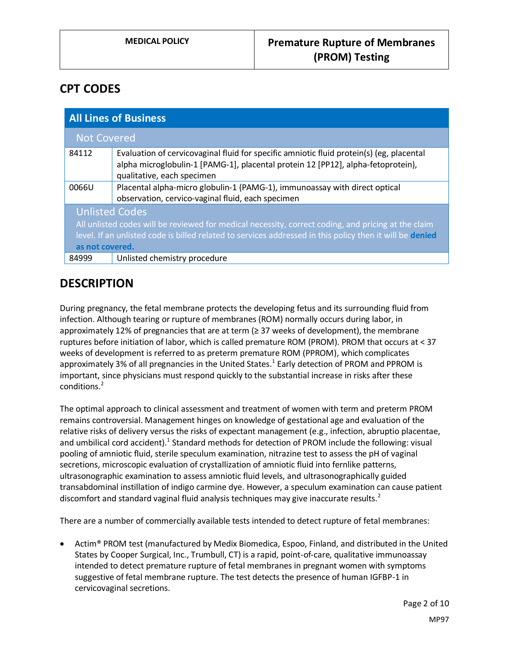## **CPT CODES**

| <b>All Lines of Business</b>                                                                                                                                                                                                                                |                                                                                                                                                                                                            |
|-------------------------------------------------------------------------------------------------------------------------------------------------------------------------------------------------------------------------------------------------------------|------------------------------------------------------------------------------------------------------------------------------------------------------------------------------------------------------------|
| <b>Not Covered</b>                                                                                                                                                                                                                                          |                                                                                                                                                                                                            |
| 84112                                                                                                                                                                                                                                                       | Evaluation of cervicovaginal fluid for specific amniotic fluid protein(s) (eg, placental<br>alpha microglobulin-1 [PAMG-1], placental protein 12 [PP12], alpha-fetoprotein),<br>qualitative, each specimen |
| 0066U                                                                                                                                                                                                                                                       | Placental alpha-micro globulin-1 (PAMG-1), immunoassay with direct optical<br>observation, cervico-vaginal fluid, each specimen                                                                            |
| <b>Unlisted Codes</b><br>All unlisted codes will be reviewed for medical necessity, correct coding, and pricing at the claim<br>level. If an unlisted code is billed related to services addressed in this policy then it will be denied<br>as not covered. |                                                                                                                                                                                                            |
| 84999                                                                                                                                                                                                                                                       | Unlisted chemistry procedure                                                                                                                                                                               |

### **DESCRIPTION**

During pregnancy, the fetal membrane protects the developing fetus and its surrounding fluid from infection. Although tearing or rupture of membranes (ROM) normally occurs during labor, in approximately 12% of pregnancies that are at term ( $\geq$  37 weeks of development), the membrane ruptures before initiation of labor, which is called premature ROM (PROM). PROM that occurs at < 37 weeks of development is referred to as preterm premature ROM (PPROM), which complicates approximately 3% of all pregnancies in the United States.<sup>1</sup> Early detection of PROM and PPROM is important, since physicians must respond quickly to the substantial increase in risks after these conditions.<sup>2</sup>

The optimal approach to clinical assessment and treatment of women with term and preterm PROM remains controversial. Management hinges on knowledge of gestational age and evaluation of the relative risks of delivery versus the risks of expectant management (e.g., infection, abruptio placentae, and umbilical cord accident).<sup>1</sup> Standard methods for detection of PROM include the following: visual pooling of amniotic fluid, sterile speculum examination, nitrazine test to assess the pH of vaginal secretions, microscopic evaluation of crystallization of amniotic fluid into fernlike patterns, ultrasonographic examination to assess amniotic fluid levels, and ultrasonographically guided transabdominal instillation of indigo carmine dye. However, a speculum examination can cause patient discomfort and standard vaginal fluid analysis techniques may give inaccurate results. $2$ 

There are a number of commercially available tests intended to detect rupture of fetal membranes:

• Actim® PROM test (manufactured by Medix Biomedica, Espoo, Finland, and distributed in the United States by Cooper Surgical, Inc., Trumbull, CT) is a rapid, point-of-care, qualitative immunoassay intended to detect premature rupture of fetal membranes in pregnant women with symptoms suggestive of fetal membrane rupture. The test detects the presence of human IGFBP-1 in cervicovaginal secretions.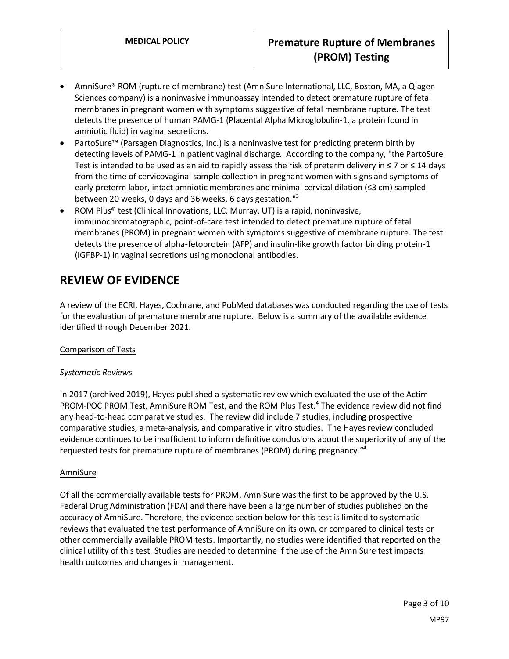- AmniSure® ROM (rupture of membrane) test (AmniSure International, LLC, Boston, MA, a Qiagen Sciences company) is a noninvasive immunoassay intended to detect premature rupture of fetal membranes in pregnant women with symptoms suggestive of fetal membrane rupture. The test detects the presence of human PAMG-1 (Placental Alpha Microglobulin-1, a protein found in amniotic fluid) in vaginal secretions.
- PartoSure™ (Parsagen Diagnostics, Inc.) is a noninvasive test for predicting preterm birth by detecting levels of PAMG-1 in patient vaginal discharge. According to the company, "the PartoSure Test is intended to be used as an aid to rapidly assess the risk of preterm delivery in  $\leq 7$  or  $\leq 14$  days from the time of cervicovaginal sample collection in pregnant women with signs and symptoms of early preterm labor, intact amniotic membranes and minimal cervical dilation (≤3 cm) sampled between 20 weeks, 0 days and 36 weeks, 6 days gestation."<sup>3</sup>
- ROM Plus® test (Clinical Innovations, LLC, Murray, UT) is a rapid, noninvasive, immunochromatographic, point-of-care test intended to detect premature rupture of fetal membranes (PROM) in pregnant women with symptoms suggestive of membrane rupture. The test detects the presence of alpha-fetoprotein (AFP) and insulin-like growth factor binding protein-1 (IGFBP-1) in vaginal secretions using monoclonal antibodies.

### **REVIEW OF EVIDENCE**

A review of the ECRI, Hayes, Cochrane, and PubMed databases was conducted regarding the use of tests for the evaluation of premature membrane rupture. Below is a summary of the available evidence identified through December 2021.

#### Comparison of Tests

#### *Systematic Reviews*

In 2017 (archived 2019), Hayes published a systematic review which evaluated the use of the Actim PROM-POC PROM Test, AmniSure ROM Test, and the ROM Plus Test.<sup>4</sup> The evidence review did not find any head-to-head comparative studies. The review did include 7 studies, including prospective comparative studies, a meta-analysis, and comparative in vitro studies. The Hayes review concluded evidence continues to be insufficient to inform definitive conclusions about the superiority of any of the requested tests for premature rupture of membranes (PROM) during pregnancy." 4

#### AmniSure

Of all the commercially available tests for PROM, AmniSure was the first to be approved by the U.S. Federal Drug Administration (FDA) and there have been a large number of studies published on the accuracy of AmniSure. Therefore, the evidence section below for this test is limited to systematic reviews that evaluated the test performance of AmniSure on its own, or compared to clinical tests or other commercially available PROM tests. Importantly, no studies were identified that reported on the clinical utility of this test. Studies are needed to determine if the use of the AmniSure test impacts health outcomes and changes in management.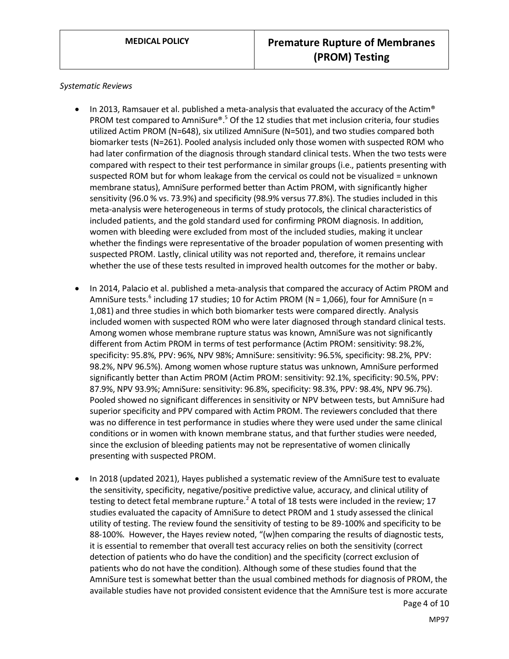*Systematic Reviews*

- In 2013, Ramsauer et al. published a meta-analysis that evaluated the accuracy of the Actim® PROM test compared to AmniSure®.<sup>5</sup> Of the 12 studies that met inclusion criteria, four studies utilized Actim PROM (N=648), six utilized AmniSure (N=501), and two studies compared both biomarker tests (N=261). Pooled analysis included only those women with suspected ROM who had later confirmation of the diagnosis through standard clinical tests. When the two tests were compared with respect to their test performance in similar groups (i.e., patients presenting with suspected ROM but for whom leakage from the cervical os could not be visualized = unknown membrane status), AmniSure performed better than Actim PROM, with significantly higher sensitivity (96.0 % vs. 73.9%) and specificity (98.9% versus 77.8%). The studies included in this meta-analysis were heterogeneous in terms of study protocols, the clinical characteristics of included patients, and the gold standard used for confirming PROM diagnosis. In addition, women with bleeding were excluded from most of the included studies, making it unclear whether the findings were representative of the broader population of women presenting with suspected PROM. Lastly, clinical utility was not reported and, therefore, it remains unclear whether the use of these tests resulted in improved health outcomes for the mother or baby.
- In 2014, Palacio et al. published a meta-analysis that compared the accuracy of Actim PROM and AmniSure tests.<sup>6</sup> including 17 studies; 10 for Actim PROM (N = 1,066), four for AmniSure (n = 1,081) and three studies in which both biomarker tests were compared directly. Analysis included women with suspected ROM who were later diagnosed through standard clinical tests. Among women whose membrane rupture status was known, AmniSure was not significantly different from Actim PROM in terms of test performance (Actim PROM: sensitivity: 98.2%, specificity: 95.8%, PPV: 96%, NPV 98%; AmniSure: sensitivity: 96.5%, specificity: 98.2%, PPV: 98.2%, NPV 96.5%). Among women whose rupture status was unknown, AmniSure performed significantly better than Actim PROM (Actim PROM: sensitivity: 92.1%, specificity: 90.5%, PPV: 87.9%, NPV 93.9%; AmniSure: sensitivity: 96.8%, specificity: 98.3%, PPV: 98.4%, NPV 96.7%). Pooled showed no significant differences in sensitivity or NPV between tests, but AmniSure had superior specificity and PPV compared with Actim PROM. The reviewers concluded that there was no difference in test performance in studies where they were used under the same clinical conditions or in women with known membrane status, and that further studies were needed, since the exclusion of bleeding patients may not be representative of women clinically presenting with suspected PROM.
- In 2018 (updated 2021), Hayes published a systematic review of the AmniSure test to evaluate the sensitivity, specificity, negative/positive predictive value, accuracy, and clinical utility of testing to detect fetal membrane rupture.<sup>2</sup> A total of 18 tests were included in the review; 17 studies evaluated the capacity of AmniSure to detect PROM and 1 study assessed the clinical utility of testing. The review found the sensitivity of testing to be 89-100% and specificity to be 88-100%. However, the Hayes review noted, "(w)hen comparing the results of diagnostic tests, it is essential to remember that overall test accuracy relies on both the sensitivity (correct detection of patients who do have the condition) and the specificity (correct exclusion of patients who do not have the condition). Although some of these studies found that the AmniSure test is somewhat better than the usual combined methods for diagnosis of PROM, the available studies have not provided consistent evidence that the AmniSure test is more accurate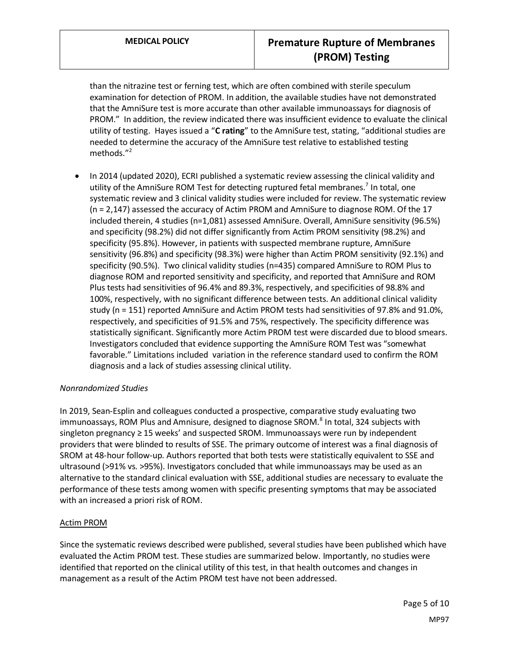than the nitrazine test or ferning test, which are often combined with sterile speculum examination for detection of PROM. In addition, the available studies have not demonstrated that the AmniSure test is more accurate than other available immunoassays for diagnosis of PROM." In addition, the review indicated there was insufficient evidence to evaluate the clinical utility of testing. Hayes issued a "**C rating**" to the AmniSure test, stating, "additional studies are needed to determine the accuracy of the AmniSure test relative to established testing methods."<sup>2</sup>

• In 2014 (updated 2020), ECRI published a systematic review assessing the clinical validity and utility of the AmniSure ROM Test for detecting ruptured fetal membranes.<sup>7</sup> In total, one systematic review and 3 clinical validity studies were included for review. The systematic review (n = 2,147) assessed the accuracy of Actim PROM and AmniSure to diagnose ROM. Of the 17 included therein, 4 studies (n=1,081) assessed AmniSure. Overall, AmniSure sensitivity (96.5%) and specificity (98.2%) did not differ significantly from Actim PROM sensitivity (98.2%) and specificity (95.8%). However, in patients with suspected membrane rupture, AmniSure sensitivity (96.8%) and specificity (98.3%) were higher than Actim PROM sensitivity (92.1%) and specificity (90.5%). Two clinical validity studies (n=435) compared AmniSure to ROM Plus to diagnose ROM and reported sensitivity and specificity, and reported that AmniSure and ROM Plus tests had sensitivities of 96.4% and 89.3%, respectively, and specificities of 98.8% and 100%, respectively, with no significant difference between tests. An additional clinical validity study (n = 151) reported AmniSure and Actim PROM tests had sensitivities of 97.8% and 91.0%, respectively, and specificities of 91.5% and 75%, respectively. The specificity difference was statistically significant. Significantly more Actim PROM test were discarded due to blood smears. Investigators concluded that evidence supporting the AmniSure ROM Test was "somewhat favorable." Limitations included variation in the reference standard used to confirm the ROM diagnosis and a lack of studies assessing clinical utility.

#### *Nonrandomized Studies*

In 2019, Sean-Esplin and colleagues conducted a prospective, comparative study evaluating two immunoassays, ROM Plus and Amnisure, designed to diagnose SROM.<sup>8</sup> In total, 324 subjects with singleton pregnancy ≥ 15 weeks' and suspected SROM. Immunoassays were run by independent providers that were blinded to results of SSE. The primary outcome of interest was a final diagnosis of SROM at 48-hour follow-up. Authors reported that both tests were statistically equivalent to SSE and ultrasound (>91% vs. >95%). Investigators concluded that while immunoassays may be used as an alternative to the standard clinical evaluation with SSE, additional studies are necessary to evaluate the performance of these tests among women with specific presenting symptoms that may be associated with an increased a priori risk of ROM.

#### Actim PROM

Since the systematic reviews described were published, several studies have been published which have evaluated the Actim PROM test. These studies are summarized below. Importantly, no studies were identified that reported on the clinical utility of this test, in that health outcomes and changes in management as a result of the Actim PROM test have not been addressed.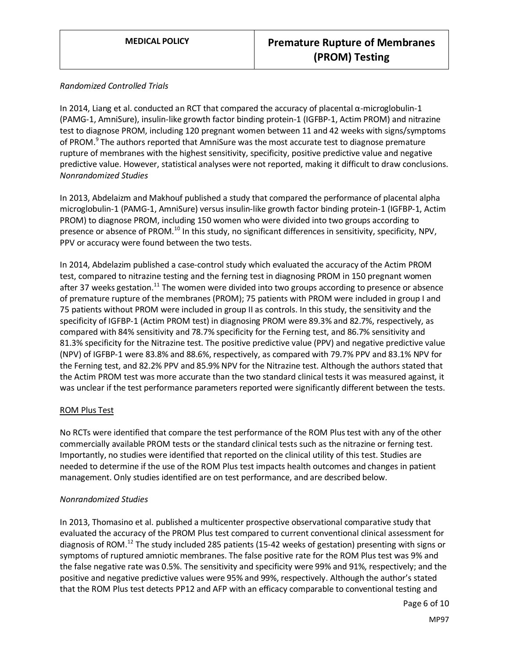#### *Randomized Controlled Trials*

In 2014, Liang et al. conducted an RCT that compared the accuracy of placental α-microglobulin-1 (PAMG-1, AmniSure), insulin-like growth factor binding protein-1 (IGFBP-1, Actim PROM) and nitrazine test to diagnose PROM, including 120 pregnant women between 11 and 42 weeks with signs/symptoms of PROM.<sup>9</sup> The authors reported that AmniSure was the most accurate test to diagnose premature rupture of membranes with the highest sensitivity, specificity, positive predictive value and negative predictive value. However, statistical analyses were not reported, making it difficult to draw conclusions. *Nonrandomized Studies*

In 2013, Abdelaizm and Makhouf published a study that compared the performance of placental alpha microglobulin-1 (PAMG-1, AmniSure) versus insulin-like growth factor binding protein-1 (IGFBP-1, Actim PROM) to diagnose PROM, including 150 women who were divided into two groups according to presence or absence of PROM.<sup>10</sup> In this study, no significant differences in sensitivity, specificity, NPV, PPV or accuracy were found between the two tests.

In 2014, Abdelazim published a case-control study which evaluated the accuracy of the Actim PROM test, compared to nitrazine testing and the ferning test in diagnosing PROM in 150 pregnant women after 37 weeks gestation.<sup>11</sup> The women were divided into two groups according to presence or absence of premature rupture of the membranes (PROM); 75 patients with PROM were included in group I and 75 patients without PROM were included in group II as controls. In this study, the sensitivity and the specificity of IGFBP-1 (Actim PROM test) in diagnosing PROM were 89.3% and 82.7%, respectively, as compared with 84% sensitivity and 78.7% specificity for the Ferning test, and 86.7% sensitivity and 81.3% specificity for the Nitrazine test. The positive predictive value (PPV) and negative predictive value (NPV) of IGFBP-1 were 83.8% and 88.6%, respectively, as compared with 79.7% PPV and 83.1% NPV for the Ferning test, and 82.2% PPV and 85.9% NPV for the Nitrazine test. Although the authors stated that the Actim PROM test was more accurate than the two standard clinical tests it was measured against, it was unclear if the test performance parameters reported were significantly different between the tests.

#### ROM Plus Test

No RCTs were identified that compare the test performance of the ROM Plus test with any of the other commercially available PROM tests or the standard clinical tests such as the nitrazine or ferning test. Importantly, no studies were identified that reported on the clinical utility of this test. Studies are needed to determine if the use of the ROM Plus test impacts health outcomes and changes in patient management. Only studies identified are on test performance, and are described below.

#### *Nonrandomized Studies*

In 2013, Thomasino et al. published a multicenter prospective observational comparative study that evaluated the accuracy of the PROM Plus test compared to current conventional clinical assessment for diagnosis of ROM.<sup>12</sup> The study included 285 patients (15-42 weeks of gestation) presenting with signs or symptoms of ruptured amniotic membranes. The false positive rate for the ROM Plus test was 9% and the false negative rate was 0.5%. The sensitivity and specificity were 99% and 91%, respectively; and the positive and negative predictive values were 95% and 99%, respectively. Although the author's stated that the ROM Plus test detects PP12 and AFP with an efficacy comparable to conventional testing and

Page 6 of 10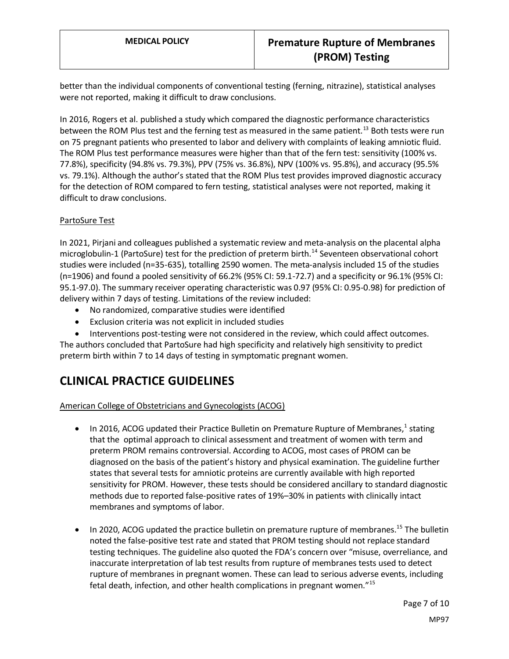better than the individual components of conventional testing (ferning, nitrazine), statistical analyses were not reported, making it difficult to draw conclusions.

In 2016, Rogers et al. published a study which compared the diagnostic performance characteristics between the ROM Plus test and the ferning test as measured in the same patient.<sup>13</sup> Both tests were run on 75 pregnant patients who presented to labor and delivery with complaints of leaking amniotic fluid. The ROM Plus test performance measures were higher than that of the fern test: sensitivity (100% vs. 77.8%), specificity (94.8% vs. 79.3%), PPV (75% vs. 36.8%), NPV (100% vs. 95.8%), and accuracy (95.5% vs. 79.1%). Although the author's stated that the ROM Plus test provides improved diagnostic accuracy for the detection of ROM compared to fern testing, statistical analyses were not reported, making it difficult to draw conclusions.

#### PartoSure Test

In 2021, Pirjani and colleagues published a systematic review and meta-analysis on the placental alpha microglobulin-1 (PartoSure) test for the prediction of preterm birth.<sup>14</sup> Seventeen observational cohort studies were included (n=35-635), totalling 2590 women. The meta-analysis included 15 of the studies (n=1906) and found a pooled sensitivity of 66.2% (95% CI: 59.1-72.7) and a specificity or 96.1% (95% CI: 95.1-97.0). The summary receiver operating characteristic was 0.97 (95% CI: 0.95-0.98) for prediction of delivery within 7 days of testing. Limitations of the review included:

- No randomized, comparative studies were identified
- Exclusion criteria was not explicit in included studies
- Interventions post-testing were not considered in the review, which could affect outcomes.

The authors concluded that PartoSure had high specificity and relatively high sensitivity to predict preterm birth within 7 to 14 days of testing in symptomatic pregnant women.

# **CLINICAL PRACTICE GUIDELINES**

#### American College of Obstetricians and Gynecologists (ACOG)

- $\bullet$  In 2016, ACOG updated their Practice Bulletin on Premature Rupture of Membranes,<sup>1</sup> stating that the optimal approach to clinical assessment and treatment of women with term and preterm PROM remains controversial. According to ACOG, most cases of PROM can be diagnosed on the basis of the patient's history and physical examination. The guideline further states that several tests for amniotic proteins are currently available with high reported sensitivity for PROM. However, these tests should be considered ancillary to standard diagnostic methods due to reported false-positive rates of 19%–30% in patients with clinically intact membranes and symptoms of labor.
- In 2020, ACOG updated the practice bulletin on premature rupture of membranes.<sup>15</sup> The bulletin noted the false-positive test rate and stated that PROM testing should not replace standard testing techniques. The guideline also quoted the FDA's concern over "misuse, overreliance, and inaccurate interpretation of lab test results from rupture of membranes tests used to detect rupture of membranes in pregnant women. These can lead to serious adverse events, including fetal death, infection, and other health complications in pregnant women."<sup>15</sup>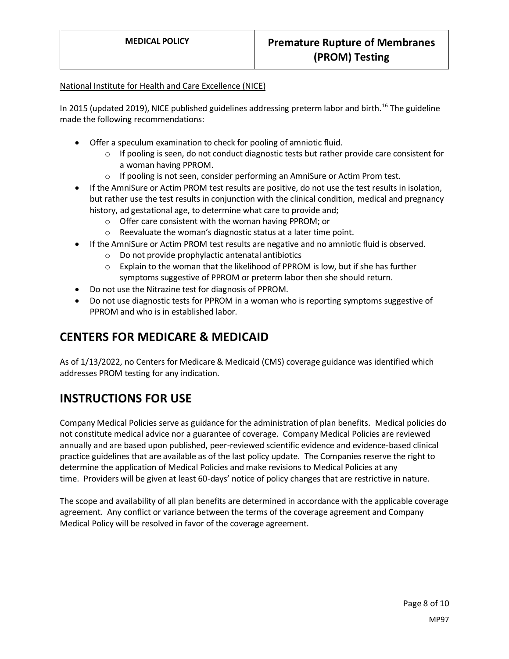#### National Institute for Health and Care Excellence (NICE)

In 2015 (updated 2019), NICE published guidelines addressing preterm labor and birth.<sup>16</sup> The guideline made the following recommendations:

- Offer a speculum examination to check for pooling of amniotic fluid.
	- $\circ$  If pooling is seen, do not conduct diagnostic tests but rather provide care consistent for a woman having PPROM.
	- o If pooling is not seen, consider performing an AmniSure or Actim Prom test.
- If the AmniSure or Actim PROM test results are positive, do not use the test results in isolation, but rather use the test results in conjunction with the clinical condition, medical and pregnancy history, ad gestational age, to determine what care to provide and;
	- o Offer care consistent with the woman having PPROM; or
	- o Reevaluate the woman's diagnostic status at a later time point.
- If the AmniSure or Actim PROM test results are negative and no amniotic fluid is observed.
	- o Do not provide prophylactic antenatal antibiotics
	- $\circ$  Explain to the woman that the likelihood of PPROM is low, but if she has further symptoms suggestive of PPROM or preterm labor then she should return.
- Do not use the Nitrazine test for diagnosis of PPROM.
- Do not use diagnostic tests for PPROM in a woman who is reporting symptoms suggestive of PPROM and who is in established labor.

### **CENTERS FOR MEDICARE & MEDICAID**

As of 1/13/2022, no Centers for Medicare & Medicaid (CMS) coverage guidance was identified which addresses PROM testing for any indication.

### **INSTRUCTIONS FOR USE**

Company Medical Policies serve as guidance for the administration of plan benefits. Medical policies do not constitute medical advice nor a guarantee of coverage. Company Medical Policies are reviewed annually and are based upon published, peer-reviewed scientific evidence and evidence-based clinical practice guidelines that are available as of the last policy update. The Companies reserve the right to determine the application of Medical Policies and make revisions to Medical Policies at any time. Providers will be given at least 60-days' notice of policy changes that are restrictive in nature.

The scope and availability of all plan benefits are determined in accordance with the applicable coverage agreement. Any conflict or variance between the terms of the coverage agreement and Company Medical Policy will be resolved in favor of the coverage agreement.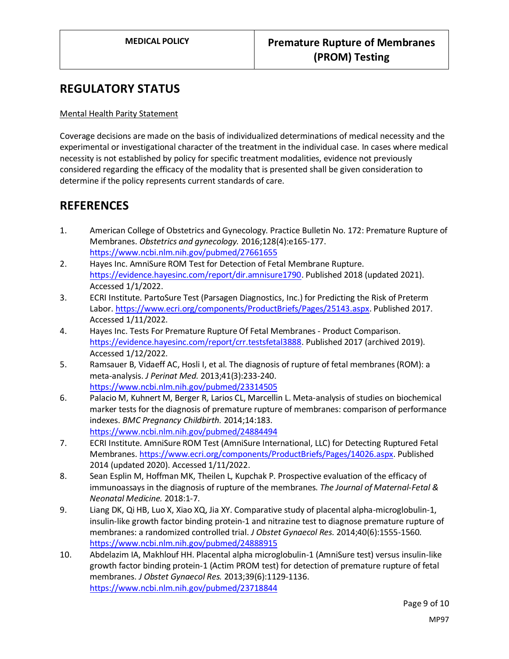### **REGULATORY STATUS**

#### Mental Health Parity Statement

Coverage decisions are made on the basis of individualized determinations of medical necessity and the experimental or investigational character of the treatment in the individual case. In cases where medical necessity is not established by policy for specific treatment modalities, evidence not previously considered regarding the efficacy of the modality that is presented shall be given consideration to determine if the policy represents current standards of care.

### **REFERENCES**

- 1. American College of Obstetrics and Gynecology. Practice Bulletin No. 172: Premature Rupture of Membranes. *Obstetrics and gynecology.* 2016;128(4):e165-177. <https://www.ncbi.nlm.nih.gov/pubmed/27661655>
- 2. Hayes Inc. AmniSure ROM Test for Detection of Fetal Membrane Rupture. [https://evidence.hayesinc.com/report/dir.amnisure1790.](https://evidence.hayesinc.com/report/dir.amnisure1790) Published 2018 (updated 2021). Accessed 1/1/2022.
- 3. ECRI Institute. PartoSure Test (Parsagen Diagnostics, Inc.) for Predicting the Risk of Preterm Labor[. https://www.ecri.org/components/ProductBriefs/Pages/25143.aspx.](https://www.ecri.org/components/ProductBriefs/Pages/25143.aspx) Published 2017. Accessed 1/11/2022.
- 4. Hayes Inc. Tests For Premature Rupture Of Fetal Membranes Product Comparison. [https://evidence.hayesinc.com/report/crr.testsfetal3888.](https://evidence.hayesinc.com/report/crr.testsfetal3888) Published 2017 (archived 2019). Accessed 1/12/2022.
- 5. Ramsauer B, Vidaeff AC, Hosli I, et al. The diagnosis of rupture of fetal membranes (ROM): a meta-analysis. *J Perinat Med.* 2013;41(3):233-240. <https://www.ncbi.nlm.nih.gov/pubmed/23314505>
- 6. Palacio M, Kuhnert M, Berger R, Larios CL, Marcellin L. Meta-analysis of studies on biochemical marker tests for the diagnosis of premature rupture of membranes: comparison of performance indexes. *BMC Pregnancy Childbirth.* 2014;14:183. <https://www.ncbi.nlm.nih.gov/pubmed/24884494>
- 7. ECRI Institute. AmniSure ROM Test (AmniSure International, LLC) for Detecting Ruptured Fetal Membranes[. https://www.ecri.org/components/ProductBriefs/Pages/14026.aspx.](https://www.ecri.org/components/ProductBriefs/Pages/14026.aspx) Published 2014 (updated 2020). Accessed 1/11/2022.
- 8. Sean Esplin M, Hoffman MK, Theilen L, Kupchak P. Prospective evaluation of the efficacy of immunoassays in the diagnosis of rupture of the membranes. *The Journal of Maternal-Fetal & Neonatal Medicine.* 2018:1-7.
- 9. Liang DK, Qi HB, Luo X, Xiao XQ, Jia XY. Comparative study of placental alpha-microglobulin-1, insulin-like growth factor binding protein-1 and nitrazine test to diagnose premature rupture of membranes: a randomized controlled trial. *J Obstet Gynaecol Res.* 2014;40(6):1555-1560. <https://www.ncbi.nlm.nih.gov/pubmed/24888915>
- 10. Abdelazim IA, Makhlouf HH. Placental alpha microglobulin-1 (AmniSure test) versus insulin-like growth factor binding protein-1 (Actim PROM test) for detection of premature rupture of fetal membranes. *J Obstet Gynaecol Res.* 2013;39(6):1129-1136. <https://www.ncbi.nlm.nih.gov/pubmed/23718844>